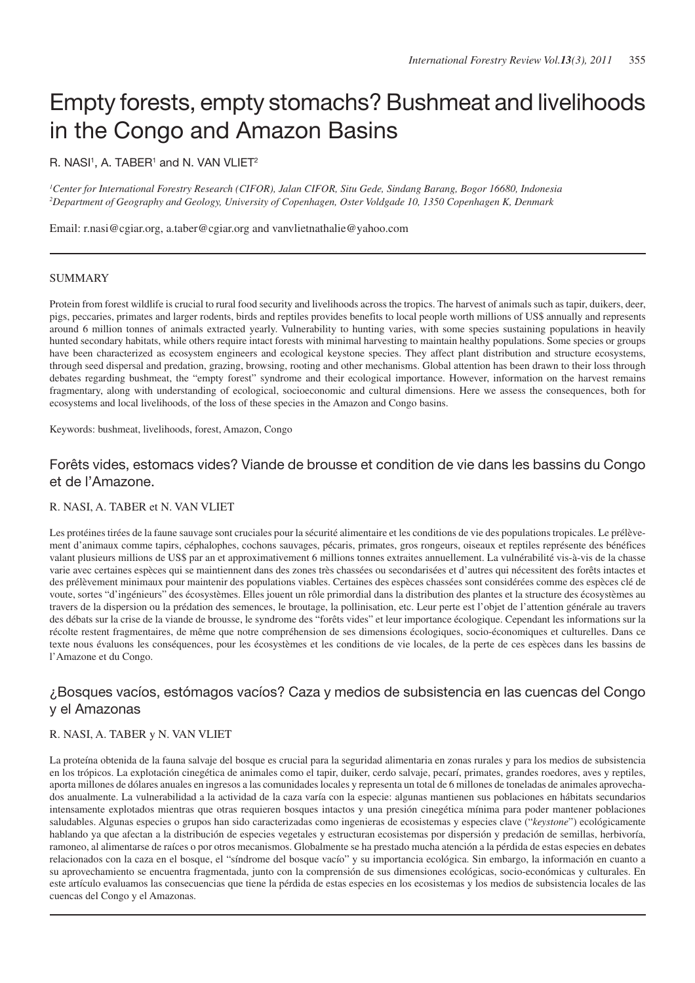# Empty forests, empty stomachs? Bushmeat and livelihoods in the Congo and Amazon Basins

# $R. NASI<sup>1</sup>$ , A. TABER<sup>1</sup> and N. VAN VLIET<sup>2</sup>

*1 Center for International Forestry Research (CIFOR), Jalan CIFOR, Situ Gede, Sindang Barang, Bogor 16680, Indonesia 2 Department of Geography and Geology, University of Copenhagen, Oster Voldgade 10, 1350 Copenhagen K, Denmark*

Email: r.nasi@cgiar.org, a.taber@cgiar.org and vanvlietnathalie@yahoo.com

## SUMMARY

Protein from forest wildlife is crucial to rural food security and livelihoods across the tropics. The harvest of animals such as tapir, duikers, deer, pigs, peccaries, primates and larger rodents, birds and reptiles provides benefits to local people worth millions of US\$ annually and represents around 6 million tonnes of animals extracted yearly. Vulnerability to hunting varies, with some species sustaining populations in heavily hunted secondary habitats, while others require intact forests with minimal harvesting to maintain healthy populations. Some species or groups have been characterized as ecosystem engineers and ecological keystone species. They affect plant distribution and structure ecosystems, through seed dispersal and predation, grazing, browsing, rooting and other mechanisms. Global attention has been drawn to their loss through debates regarding bushmeat, the "empty forest" syndrome and their ecological importance. However, information on the harvest remains fragmentary, along with understanding of ecological, socioeconomic and cultural dimensions. Here we assess the consequences, both for ecosystems and local livelihoods, of the loss of these species in the Amazon and Congo basins.

Keywords: bushmeat, livelihoods, forest, Amazon, Congo

# Forêts vides, estomacs vides? Viande de brousse et condition de vie dans les bassins du Congo et de l'Amazone.

#### R. NASI, A. TABER et N. VAN VLIET

Les protéines tirées de la faune sauvage sont cruciales pour la sécurité alimentaire et les conditions de vie des populations tropicales. Le prélèvement d'animaux comme tapirs, céphalophes, cochons sauvages, pécaris, primates, gros rongeurs, oiseaux et reptiles représente des bénéfices valant plusieurs millions de US\$ par an et approximativement 6 millions tonnes extraites annuellement. La vulnérabilité vis-à-vis de la chasse varie avec certaines espèces qui se maintiennent dans des zones très chassées ou secondarisées et d'autres qui nécessitent des forêts intactes et des prélèvement minimaux pour maintenir des populations viables. Certaines des espèces chassées sont considérées comme des espèces clé de voute, sortes "d'ingénieurs" des écosystèmes. Elles jouent un rôle primordial dans la distribution des plantes et la structure des écosystèmes au travers de la dispersion ou la prédation des semences, le broutage, la pollinisation, etc. Leur perte est l'objet de l'attention générale au travers des débats sur la crise de la viande de brousse, le syndrome des "forêts vides" et leur importance écologique. Cependant les informations sur la récolte restent fragmentaires, de même que notre compréhension de ses dimensions écologiques, socio-économiques et culturelles. Dans ce texte nous évaluons les conséquences, pour les écosystèmes et les conditions de vie locales, de la perte de ces espèces dans les bassins de l'Amazone et du Congo.

# ¿Bosques vacíos, estómagos vacíos? Caza y medios de subsistencia en las cuencas del Congo y el Amazonas

# R. NASI, A. TABER y N. VAN VLIET

La proteína obtenida de la fauna salvaje del bosque es crucial para la seguridad alimentaria en zonas rurales y para los medios de subsistencia en los trópicos. La explotación cinegética de animales como el tapir, duiker, cerdo salvaje, pecarí, primates, grandes roedores, aves y reptiles, aporta millones de dólares anuales en ingresos a las comunidades locales y representa un total de 6 millones de toneladas de animales aprovechados anualmente. La vulnerabilidad a la actividad de la caza varía con la especie: algunas mantienen sus poblaciones en hábitats secundarios intensamente explotados mientras que otras requieren bosques intactos y una presión cinegética mínima para poder mantener poblaciones saludables. Algunas especies o grupos han sido caracterizadas como ingenieras de ecosistemas y especies clave ("*keystone*") ecológicamente hablando ya que afectan a la distribución de especies vegetales y estructuran ecosistemas por dispersión y predación de semillas, herbivoría, ramoneo, al alimentarse de raíces o por otros mecanismos. Globalmente se ha prestado mucha atención a la pérdida de estas especies en debates relacionados con la caza en el bosque, el "síndrome del bosque vacío" y su importancia ecológica. Sin embargo, la información en cuanto a su aprovechamiento se encuentra fragmentada, junto con la comprensión de sus dimensiones ecológicas, socio-económicas y culturales. En este artículo evaluamos las consecuencias que tiene la pérdida de estas especies en los ecosistemas y los medios de subsistencia locales de las cuencas del Congo y el Amazonas.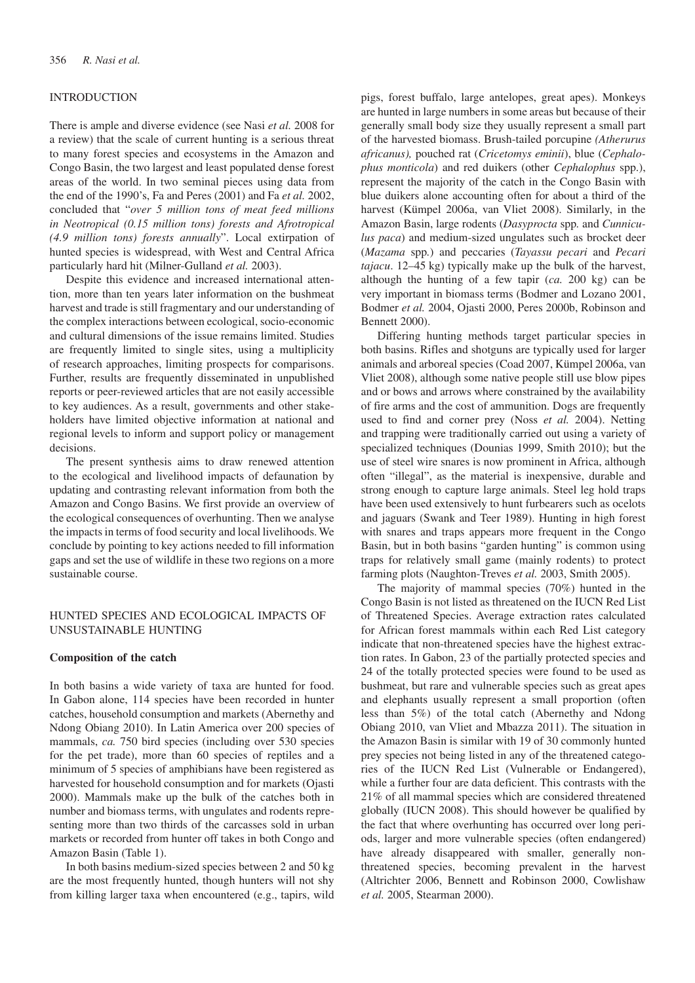#### INTRODUCTION

There is ample and diverse evidence (see Nasi *et al.* 2008 for a review) that the scale of current hunting is a serious threat to many forest species and ecosystems in the Amazon and Congo Basin, the two largest and least populated dense forest areas of the world. In two seminal pieces using data from the end of the 1990's, Fa and Peres (2001) and Fa *et al.* 2002, concluded that "*over 5 million tons of meat feed millions in Neotropical (0.15 million tons) forests and Afrotropical (4.9 million tons) forests annually*". Local extirpation of hunted species is widespread, with West and Central Africa particularly hard hit (Milner-Gulland *et al.* 2003).

Despite this evidence and increased international attention, more than ten years later information on the bushmeat harvest and trade is still fragmentary and our understanding of the complex interactions between ecological, socio-economic and cultural dimensions of the issue remains limited. Studies are frequently limited to single sites, using a multiplicity of research approaches, limiting prospects for comparisons. Further, results are frequently disseminated in unpublished reports or peer-reviewed articles that are not easily accessible to key audiences. As a result, governments and other stakeholders have limited objective information at national and regional levels to inform and support policy or management decisions.

The present synthesis aims to draw renewed attention to the ecological and livelihood impacts of defaunation by updating and contrasting relevant information from both the Amazon and Congo Basins. We first provide an overview of the ecological consequences of overhunting. Then we analyse the impacts in terms of food security and local livelihoods. We conclude by pointing to key actions needed to fill information gaps and set the use of wildlife in these two regions on a more sustainable course.

#### HUNTED SPECIES AND ECOLOGICAL IMPACTS OF UNSUSTAINABLE HUNTING

#### **Composition of the catch**

In both basins a wide variety of taxa are hunted for food. In Gabon alone, 114 species have been recorded in hunter catches, household consumption and markets (Abernethy and Ndong Obiang 2010). In Latin America over 200 species of mammals, *ca.* 750 bird species (including over 530 species for the pet trade), more than 60 species of reptiles and a minimum of 5 species of amphibians have been registered as harvested for household consumption and for markets (Ojasti 2000). Mammals make up the bulk of the catches both in number and biomass terms, with ungulates and rodents representing more than two thirds of the carcasses sold in urban markets or recorded from hunter off takes in both Congo and Amazon Basin (Table 1).

In both basins medium-sized species between 2 and 50 kg are the most frequently hunted, though hunters will not shy from killing larger taxa when encountered (e.g., tapirs, wild pigs, forest buffalo, large antelopes, great apes). Monkeys are hunted in large numbers in some areas but because of their generally small body size they usually represent a small part of the harvested biomass. Brush-tailed porcupine *(Atherurus africanus),* pouched rat (*Cricetomys eminii*), blue (*Cephalophus monticola*) and red duikers (other *Cephalophus* spp.), represent the majority of the catch in the Congo Basin with blue duikers alone accounting often for about a third of the harvest (Kümpel 2006a, van Vliet 2008). Similarly, in the Amazon Basin, large rodents (*Dasyprocta* spp*.* and *Cunniculus paca*) and medium-sized ungulates such as brocket deer (*Mazama* spp*.*) and peccaries (*Tayassu pecari* and *Pecari tajacu*. 12–45 kg) typically make up the bulk of the harvest, although the hunting of a few tapir (*ca.* 200 kg) can be very important in biomass terms (Bodmer and Lozano 2001, Bodmer *et al.* 2004, Ojasti 2000, Peres 2000b, Robinson and Bennett 2000).

Differing hunting methods target particular species in both basins. Rifles and shotguns are typically used for larger animals and arboreal species (Coad 2007, Kümpel 2006a, van Vliet 2008), although some native people still use blow pipes and or bows and arrows where constrained by the availability of fire arms and the cost of ammunition. Dogs are frequently used to find and corner prey (Noss *et al.* 2004). Netting and trapping were traditionally carried out using a variety of specialized techniques (Dounias 1999, Smith 2010); but the use of steel wire snares is now prominent in Africa, although often "illegal", as the material is inexpensive, durable and strong enough to capture large animals. Steel leg hold traps have been used extensively to hunt furbearers such as ocelots and jaguars (Swank and Teer 1989). Hunting in high forest with snares and traps appears more frequent in the Congo Basin, but in both basins "garden hunting" is common using traps for relatively small game (mainly rodents) to protect farming plots (Naughton-Treves *et al.* 2003, Smith 2005).

The majority of mammal species (70%) hunted in the Congo Basin is not listed as threatened on the IUCN Red List of Threatened Species. Average extraction rates calculated for African forest mammals within each Red List category indicate that non-threatened species have the highest extraction rates. In Gabon, 23 of the partially protected species and 24 of the totally protected species were found to be used as bushmeat, but rare and vulnerable species such as great apes and elephants usually represent a small proportion (often less than 5%) of the total catch (Abernethy and Ndong Obiang 2010, van Vliet and Mbazza 2011). The situation in the Amazon Basin is similar with 19 of 30 commonly hunted prey species not being listed in any of the threatened categories of the IUCN Red List (Vulnerable or Endangered), while a further four are data deficient. This contrasts with the 21% of all mammal species which are considered threatened globally (IUCN 2008). This should however be qualified by the fact that where overhunting has occurred over long periods, larger and more vulnerable species (often endangered) have already disappeared with smaller, generally nonthreatened species, becoming prevalent in the harvest (Altrichter 2006, Bennett and Robinson 2000, Cowlishaw *et al.* 2005, Stearman 2000).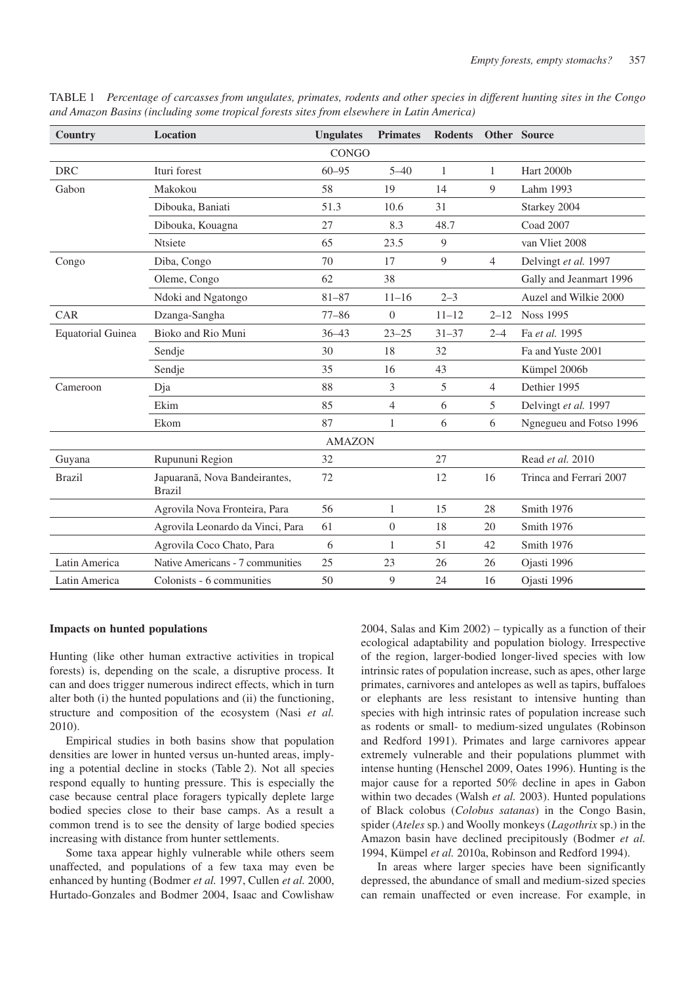| <b>Country</b>           | <b>Location</b>                                | <b>Ungulates</b> | <b>Primates</b> | <b>Rodents</b> |                | <b>Other Source</b>     |
|--------------------------|------------------------------------------------|------------------|-----------------|----------------|----------------|-------------------------|
|                          | <b>CONGO</b>                                   |                  |                 |                |                |                         |
| <b>DRC</b>               | Ituri forest                                   | $60 - 95$        | $5 - 40$        | 1              | 1              | Hart 2000b              |
| Gabon                    | Makokou                                        | 58               | 19              | 14             | 9              | Lahm 1993               |
|                          | Dibouka, Baniati                               | 51.3             | 10.6            | 31             |                | Starkey 2004            |
|                          | Dibouka, Kouagna                               | 27               | 8.3             | 48.7           |                | <b>Coad 2007</b>        |
|                          | <b>Ntsiete</b>                                 | 65               | 23.5            | 9              |                | van Vliet 2008          |
| Congo                    | Diba, Congo                                    | 70               | 17              | 9              | $\overline{4}$ | Delvingt et al. 1997    |
|                          | Oleme, Congo                                   | 62               | 38              |                |                | Gally and Jeanmart 1996 |
|                          | Ndoki and Ngatongo                             | $81 - 87$        | $11 - 16$       | $2 - 3$        |                | Auzel and Wilkie 2000   |
| CAR                      | Dzanga-Sangha                                  | $77 - 86$        | $\theta$        | $11 - 12$      | $2 - 12$       | <b>Noss 1995</b>        |
| <b>Equatorial Guinea</b> | Bioko and Rio Muni                             | $36 - 43$        | $23 - 25$       | $31 - 37$      | $2 - 4$        | Fa et al. 1995          |
|                          | Sendje                                         | 30               | 18              | 32             |                | Fa and Yuste 2001       |
|                          | Sendje                                         | 35               | 16              | 43             |                | Kümpel 2006b            |
| Cameroon                 | Dja                                            | 88               | 3               | 5              | 4              | Dethier 1995            |
|                          | Ekim                                           | 85               | $\overline{4}$  | 6              | 5              | Delvingt et al. 1997    |
|                          | Ekom                                           | 87               | 1               | 6              | 6              | Ngnegueu and Fotso 1996 |
|                          |                                                | <b>AMAZON</b>    |                 |                |                |                         |
| Guyana                   | Rupununi Region                                | 32               |                 | 27             |                | Read et al. 2010        |
| <b>Brazil</b>            | Japuaranã, Nova Bandeirantes,<br><b>Brazil</b> | 72               |                 | 12             | 16             | Trinca and Ferrari 2007 |
|                          | Agrovila Nova Fronteira, Para                  | 56               | 1               | 15             | 28             | <b>Smith 1976</b>       |
|                          | Agrovila Leonardo da Vinci, Para               | 61               | $\theta$        | 18             | 20             | <b>Smith 1976</b>       |
|                          | Agrovila Coco Chato, Para                      | 6                | 1               | 51             | 42             | Smith 1976              |
| Latin America            | Native Americans - 7 communities               | 25               | 23              | 26             | 26             | Ojasti 1996             |
| Latin America            | Colonists - 6 communities                      | 50               | 9               | 24             | 16             | Ojasti 1996             |

TABLE 1 *Percentage of carcasses from ungulates, primates, rodents and other species in different hunting sites in the Congo and Amazon Basins (including some tropical forests sites from elsewhere in Latin America)*

#### **Impacts on hunted populations**

Hunting (like other human extractive activities in tropical forests) is, depending on the scale, a disruptive process. It can and does trigger numerous indirect effects, which in turn alter both (i) the hunted populations and (ii) the functioning, structure and composition of the ecosystem (Nasi *et al.* 2010).

Empirical studies in both basins show that population densities are lower in hunted versus un-hunted areas, implying a potential decline in stocks (Table 2). Not all species respond equally to hunting pressure. This is especially the case because central place foragers typically deplete large bodied species close to their base camps. As a result a common trend is to see the density of large bodied species increasing with distance from hunter settlements.

Some taxa appear highly vulnerable while others seem unaffected, and populations of a few taxa may even be enhanced by hunting (Bodmer *et al.* 1997, Cullen *et al.* 2000, Hurtado-Gonzales and Bodmer 2004, Isaac and Cowlishaw 2004, Salas and Kim 2002) – typically as a function of their ecological adaptability and population biology. Irrespective of the region, larger-bodied longer-lived species with low intrinsic rates of population increase, such as apes, other large primates, carnivores and antelopes as well as tapirs, buffaloes or elephants are less resistant to intensive hunting than species with high intrinsic rates of population increase such as rodents or small- to medium-sized ungulates (Robinson and Redford 1991). Primates and large carnivores appear extremely vulnerable and their populations plummet with intense hunting (Henschel 2009, Oates 1996). Hunting is the major cause for a reported 50% decline in apes in Gabon within two decades (Walsh *et al.* 2003). Hunted populations of Black colobus (*Colobus satanas*) in the Congo Basin, spider (*Ateles* sp*.*) and Woolly monkeys (*Lagothrix* sp.) in the Amazon basin have declined precipitously (Bodmer *et al.* 1994, Kümpel *et al.* 2010a, Robinson and Redford 1994).

In areas where larger species have been significantly depressed, the abundance of small and medium-sized species can remain unaffected or even increase. For example, in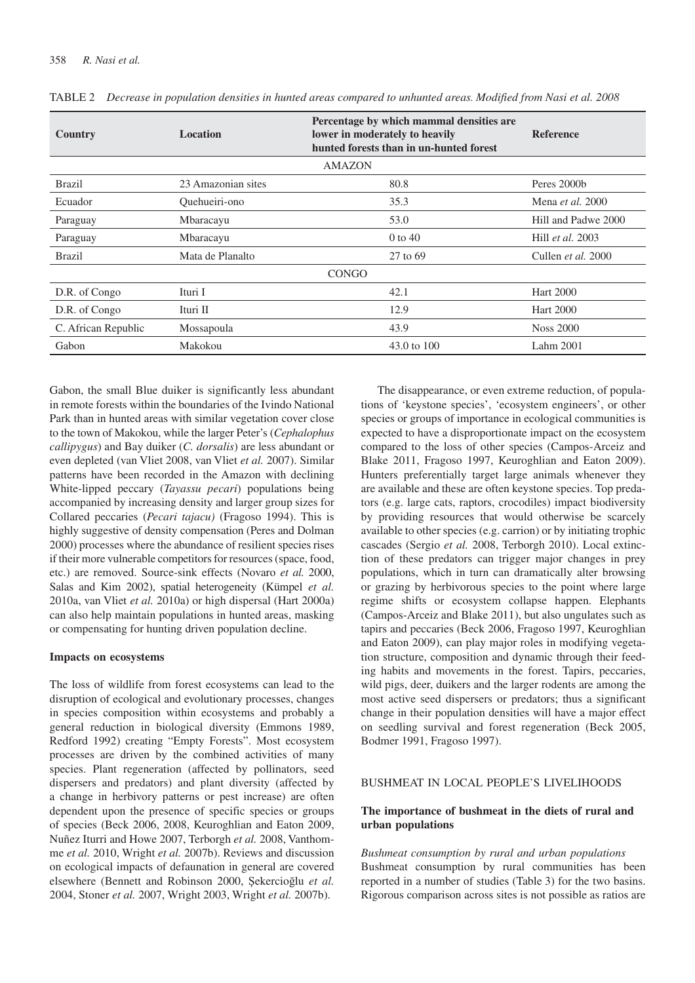| Country             | <b>Location</b>    | Percentage by which mammal densities are<br>lower in moderately to heavily<br>hunted forests than in un-hunted forest | <b>Reference</b>          |  |  |  |
|---------------------|--------------------|-----------------------------------------------------------------------------------------------------------------------|---------------------------|--|--|--|
|                     |                    | <b>AMAZON</b>                                                                                                         |                           |  |  |  |
| <b>Brazil</b>       | 23 Amazonian sites | 80.8                                                                                                                  | Peres 2000b               |  |  |  |
| Ecuador             | Quehueiri-ono      | 35.3                                                                                                                  | Mena et al. 2000          |  |  |  |
| Paraguay            | Mbaracayu          | 53.0                                                                                                                  | Hill and Padwe 2000       |  |  |  |
| Paraguay            | Mbaracayu          | $0$ to $40$                                                                                                           | Hill <i>et al.</i> 2003   |  |  |  |
| <b>Brazil</b>       | Mata de Planalto   | 27 to 69                                                                                                              | Cullen <i>et al.</i> 2000 |  |  |  |
| <b>CONGO</b>        |                    |                                                                                                                       |                           |  |  |  |
| D.R. of Congo       | Ituri I            | 42.1                                                                                                                  | <b>Hart 2000</b>          |  |  |  |
| D.R. of Congo       | Ituri II           | 12.9                                                                                                                  | <b>Hart 2000</b>          |  |  |  |
| C. African Republic | Mossapoula         | 43.9                                                                                                                  | <b>Noss 2000</b>          |  |  |  |
| Gabon               | Makokou            | 43.0 to 100                                                                                                           | Lahm 2001                 |  |  |  |

TABLE 2 *Decrease in population densities in hunted areas compared to unhunted areas. Modified from Nasi et al. 2008*

Gabon, the small Blue duiker is significantly less abundant in remote forests within the boundaries of the Ivindo National Park than in hunted areas with similar vegetation cover close to the town of Makokou, while the larger Peter's (*Cephalophus callipygus*) and Bay duiker (*C. dorsalis*) are less abundant or even depleted (van Vliet 2008, van Vliet *et al.* 2007). Similar patterns have been recorded in the Amazon with declining White-lipped peccary (*Tayassu pecari*) populations being accompanied by increasing density and larger group sizes for Collared peccaries (*Pecari tajacu)* (Fragoso 1994). This is highly suggestive of density compensation (Peres and Dolman 2000) processes where the abundance of resilient species rises if their more vulnerable competitors for resources (space, food, etc.) are removed. Source-sink effects (Novaro *et al.* 2000, Salas and Kim 2002), spatial heterogeneity (Kümpel *et al.* 2010a, van Vliet *et al.* 2010a) or high dispersal (Hart 2000a) can also help maintain populations in hunted areas, masking or compensating for hunting driven population decline.

#### **Impacts on ecosystems**

The loss of wildlife from forest ecosystems can lead to the disruption of ecological and evolutionary processes, changes in species composition within ecosystems and probably a general reduction in biological diversity (Emmons 1989, Redford 1992) creating "Empty Forests". Most ecosystem processes are driven by the combined activities of many species. Plant regeneration (affected by pollinators, seed dispersers and predators) and plant diversity (affected by a change in herbivory patterns or pest increase) are often dependent upon the presence of specific species or groups of species (Beck 2006, 2008, Keuroghlian and Eaton 2009, Nuñez Iturri and Howe 2007, Terborgh *et al.* 2008, Vanthomme *et al.* 2010, Wright *et al.* 2007b). Reviews and discussion on ecological impacts of defaunation in general are covered elsewhere (Bennett and Robinson 2000, Şekercioğlu *et al.* 2004, Stoner *et al.* 2007, Wright 2003, Wright *et al.* 2007b).

The disappearance, or even extreme reduction, of populations of 'keystone species', 'ecosystem engineers', or other species or groups of importance in ecological communities is expected to have a disproportionate impact on the ecosystem compared to the loss of other species (Campos-Arceiz and Blake 2011, Fragoso 1997, Keuroghlian and Eaton 2009). Hunters preferentially target large animals whenever they are available and these are often keystone species. Top predators (e.g. large cats, raptors, crocodiles) impact biodiversity by providing resources that would otherwise be scarcely available to other species (e.g. carrion) or by initiating trophic cascades (Sergio *et al.* 2008, Terborgh 2010). Local extinction of these predators can trigger major changes in prey populations, which in turn can dramatically alter browsing or grazing by herbivorous species to the point where large regime shifts or ecosystem collapse happen. Elephants (Campos-Arceiz and Blake 2011), but also ungulates such as tapirs and peccaries (Beck 2006, Fragoso 1997, Keuroghlian and Eaton 2009), can play major roles in modifying vegetation structure, composition and dynamic through their feeding habits and movements in the forest. Tapirs, peccaries, wild pigs, deer, duikers and the larger rodents are among the most active seed dispersers or predators; thus a significant change in their population densities will have a major effect on seedling survival and forest regeneration (Beck 2005, Bodmer 1991, Fragoso 1997).

#### BUSHMEAT IN LOCAL PEOPLE'S LIVELIHOODS

## **The importance of bushmeat in the diets of rural and urban populations**

*Bushmeat consumption by rural and urban populations*  Bushmeat consumption by rural communities has been reported in a number of studies (Table 3) for the two basins. Rigorous comparison across sites is not possible as ratios are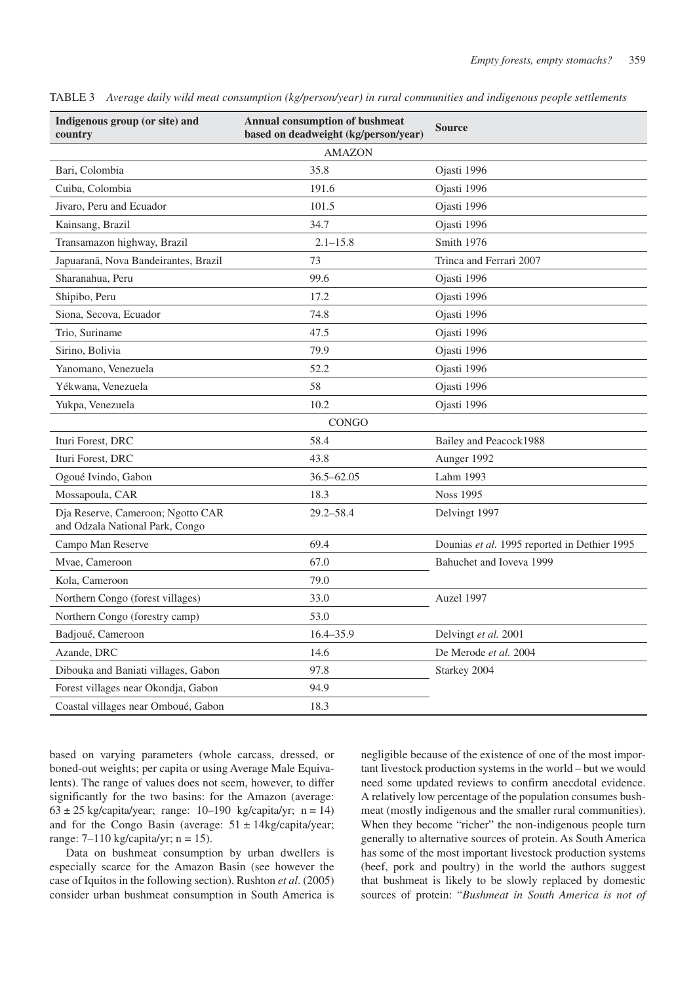| Indigenous group (or site) and<br>country                            | Annual consumption of bushmeat<br>based on deadweight (kg/person/year) | <b>Source</b>                                |
|----------------------------------------------------------------------|------------------------------------------------------------------------|----------------------------------------------|
|                                                                      | <b>AMAZON</b>                                                          |                                              |
| Bari, Colombia                                                       | 35.8                                                                   | Ojasti 1996                                  |
| Cuiba, Colombia                                                      | 191.6                                                                  | Ojasti 1996                                  |
| Jivaro, Peru and Ecuador                                             | 101.5                                                                  | Ojasti 1996                                  |
| Kainsang, Brazil                                                     | 34.7                                                                   | Ojasti 1996                                  |
| Transamazon highway, Brazil                                          | $2.1 - 15.8$                                                           | <b>Smith 1976</b>                            |
| Japuaranã, Nova Bandeirantes, Brazil                                 | 73                                                                     | Trinca and Ferrari 2007                      |
| Sharanahua, Peru                                                     | 99.6                                                                   | Ojasti 1996                                  |
| Shipibo, Peru                                                        | 17.2                                                                   | Ojasti 1996                                  |
| Siona, Secova, Ecuador                                               | 74.8                                                                   | Ojasti 1996                                  |
| Trio, Suriname                                                       | 47.5                                                                   | Ojasti 1996                                  |
| Sirino, Bolivia                                                      | 79.9                                                                   | Ojasti 1996                                  |
| Yanomano, Venezuela                                                  | 52.2                                                                   | Ojasti 1996                                  |
| Yékwana, Venezuela                                                   | 58                                                                     | Ojasti 1996                                  |
| Yukpa, Venezuela                                                     | 10.2                                                                   | Ojasti 1996                                  |
|                                                                      | <b>CONGO</b>                                                           |                                              |
| Ituri Forest, DRC                                                    | 58.4                                                                   | Bailey and Peacock1988                       |
| Ituri Forest, DRC                                                    | 43.8                                                                   | Aunger 1992                                  |
| Ogoué Ivindo, Gabon                                                  | $36.5 - 62.05$                                                         | Lahm 1993                                    |
| Mossapoula, CAR                                                      | 18.3                                                                   | <b>Noss 1995</b>                             |
| Dja Reserve, Cameroon; Ngotto CAR<br>and Odzala National Park, Congo | $29.2 - 58.4$                                                          | Delvingt 1997                                |
| Campo Man Reserve                                                    | 69.4                                                                   | Dounias et al. 1995 reported in Dethier 1995 |
| Mvae, Cameroon                                                       | 67.0                                                                   | Bahuchet and Ioveva 1999                     |
| Kola, Cameroon                                                       | 79.0                                                                   |                                              |
| Northern Congo (forest villages)                                     | 33.0                                                                   | Auzel 1997                                   |
| Northern Congo (forestry camp)                                       | 53.0                                                                   |                                              |
| Badjoué, Cameroon                                                    | $16.4 - 35.9$                                                          | Delvingt et al. 2001                         |
| Azande, DRC                                                          | 14.6                                                                   | De Merode et al. 2004                        |
| Dibouka and Baniati villages, Gabon                                  | 97.8                                                                   | Starkey 2004                                 |
| Forest villages near Okondja, Gabon                                  | 94.9                                                                   |                                              |
| Coastal villages near Omboué, Gabon                                  | 18.3                                                                   |                                              |

TABLE 3 *Average daily wild meat consumption (kg/person/year) in rural communities and indigenous people settlements*

based on varying parameters (whole carcass, dressed, or boned-out weights; per capita or using Average Male Equivalents). The range of values does not seem, however, to differ significantly for the two basins: for the Amazon (average:  $63 \pm 25$  kg/capita/year; range: 10–190 kg/capita/yr; n = 14) and for the Congo Basin (average:  $51 \pm 14$ kg/capita/year; range:  $7-110$  kg/capita/yr; n = 15).

Data on bushmeat consumption by urban dwellers is especially scarce for the Amazon Basin (see however the case of Iquitos in the following section). Rushton *et al*. (2005) consider urban bushmeat consumption in South America is negligible because of the existence of one of the most important livestock production systems in the world – but we would need some updated reviews to confirm anecdotal evidence. A relatively low percentage of the population consumes bushmeat (mostly indigenous and the smaller rural communities). When they become "richer" the non-indigenous people turn generally to alternative sources of protein. As South America has some of the most important livestock production systems (beef, pork and poultry) in the world the authors suggest that bushmeat is likely to be slowly replaced by domestic sources of protein: "*Bushmeat in South America is not of*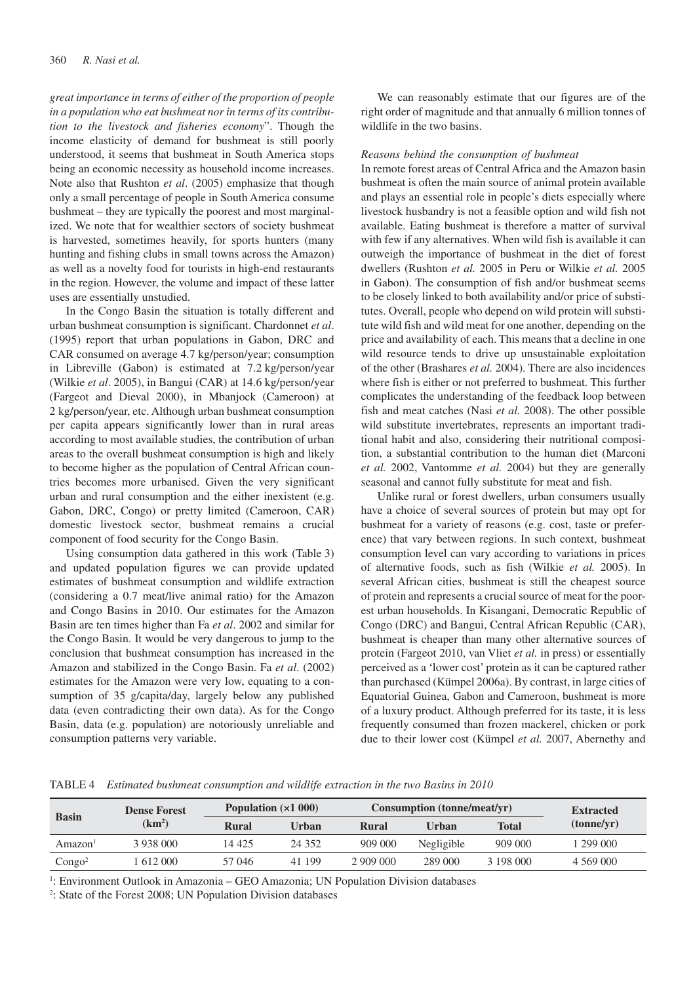*great importance in terms of either of the proportion of people in a population who eat bushmeat nor in terms of its contribution to the livestock and fisheries economy*". Though the income elasticity of demand for bushmeat is still poorly understood, it seems that bushmeat in South America stops being an economic necessity as household income increases. Note also that Rushton *et al*. (2005) emphasize that though only a small percentage of people in South America consume bushmeat – they are typically the poorest and most marginalized. We note that for wealthier sectors of society bushmeat is harvested, sometimes heavily, for sports hunters (many hunting and fishing clubs in small towns across the Amazon) as well as a novelty food for tourists in high-end restaurants in the region. However, the volume and impact of these latter uses are essentially unstudied.

In the Congo Basin the situation is totally different and urban bushmeat consumption is significant. Chardonnet *et al*. (1995) report that urban populations in Gabon, DRC and CAR consumed on average 4.7 kg/person/year; consumption in Libreville (Gabon) is estimated at 7.2 kg/person/year (Wilkie *et al*. 2005), in Bangui (CAR) at 14.6 kg/person/year (Fargeot and Dieval 2000), in Mbanjock (Cameroon) at 2 kg/person/year, etc. Although urban bushmeat consumption per capita appears significantly lower than in rural areas according to most available studies, the contribution of urban areas to the overall bushmeat consumption is high and likely to become higher as the population of Central African countries becomes more urbanised. Given the very significant urban and rural consumption and the either inexistent (e.g. Gabon, DRC, Congo) or pretty limited (Cameroon, CAR) domestic livestock sector, bushmeat remains a crucial component of food security for the Congo Basin.

Using consumption data gathered in this work (Table 3) and updated population figures we can provide updated estimates of bushmeat consumption and wildlife extraction (considering a 0.7 meat/live animal ratio) for the Amazon and Congo Basins in 2010. Our estimates for the Amazon Basin are ten times higher than Fa *et al*. 2002 and similar for the Congo Basin. It would be very dangerous to jump to the conclusion that bushmeat consumption has increased in the Amazon and stabilized in the Congo Basin. Fa *et al*. (2002) estimates for the Amazon were very low, equating to a consumption of 35 g/capita/day, largely below any published data (even contradicting their own data). As for the Congo Basin, data (e.g. population) are notoriously unreliable and consumption patterns very variable.

We can reasonably estimate that our figures are of the right order of magnitude and that annually 6 million tonnes of wildlife in the two basins.

#### *Reasons behind the consumption of bushmeat*

In remote forest areas of Central Africa and the Amazon basin bushmeat is often the main source of animal protein available and plays an essential role in people's diets especially where livestock husbandry is not a feasible option and wild fish not available. Eating bushmeat is therefore a matter of survival with few if any alternatives. When wild fish is available it can outweigh the importance of bushmeat in the diet of forest dwellers (Rushton *et al.* 2005 in Peru or Wilkie *et al.* 2005 in Gabon). The consumption of fish and/or bushmeat seems to be closely linked to both availability and/or price of substitutes. Overall, people who depend on wild protein will substitute wild fish and wild meat for one another, depending on the price and availability of each. This means that a decline in one wild resource tends to drive up unsustainable exploitation of the other (Brashares *et al.* 2004). There are also incidences where fish is either or not preferred to bushmeat. This further complicates the understanding of the feedback loop between fish and meat catches (Nasi *et al.* 2008). The other possible wild substitute invertebrates, represents an important traditional habit and also, considering their nutritional composition, a substantial contribution to the human diet (Marconi *et al.* 2002, Vantomme *et al.* 2004) but they are generally seasonal and cannot fully substitute for meat and fish.

Unlike rural or forest dwellers, urban consumers usually have a choice of several sources of protein but may opt for bushmeat for a variety of reasons (e.g. cost, taste or preference) that vary between regions. In such context, bushmeat consumption level can vary according to variations in prices of alternative foods, such as fish (Wilkie *et al.* 2005). In several African cities, bushmeat is still the cheapest source of protein and represents a crucial source of meat for the poorest urban households. In Kisangani, Democratic Republic of Congo (DRC) and Bangui, Central African Republic (CAR), bushmeat is cheaper than many other alternative sources of protein (Fargeot 2010, van Vliet *et al.* in press) or essentially perceived as a 'lower cost' protein as it can be captured rather than purchased (Kümpel 2006a). By contrast, in large cities of Equatorial Guinea, Gabon and Cameroon, bushmeat is more of a luxury product. Although preferred for its taste, it is less frequently consumed than frozen mackerel, chicken or pork due to their lower cost (Kümpel *et al.* 2007, Abernethy and

TABLE 4 *Estimated bushmeat consumption and wildlife extraction in the two Basins in 2010*

| <b>Basin</b>        | <b>Dense Forest</b><br>(km <sup>2</sup> ) |        | Population $(x1 000)$ |              | Consumption (tonne/meat/yr) |              |            |
|---------------------|-------------------------------------------|--------|-----------------------|--------------|-----------------------------|--------------|------------|
|                     |                                           | Rural  | Urban                 | <b>Rural</b> | Urban                       | <b>Total</b> | (tonne/yr) |
| Amazon <sup>1</sup> | 3 938 000                                 | 14 425 | 24 3 5 2              | 909 000      | Negligible                  | 909 000      | 299 000    |
| Congo <sup>2</sup>  | 612 000                                   | 57 046 | 41 199                | 2 909 000    | 289 000                     | 3 198 000    | 4 569 000  |

<sup>1</sup>: Environment Outlook in Amazonia – GEO Amazonia; UN Population Division databases

2 : State of the Forest 2008; UN Population Division databases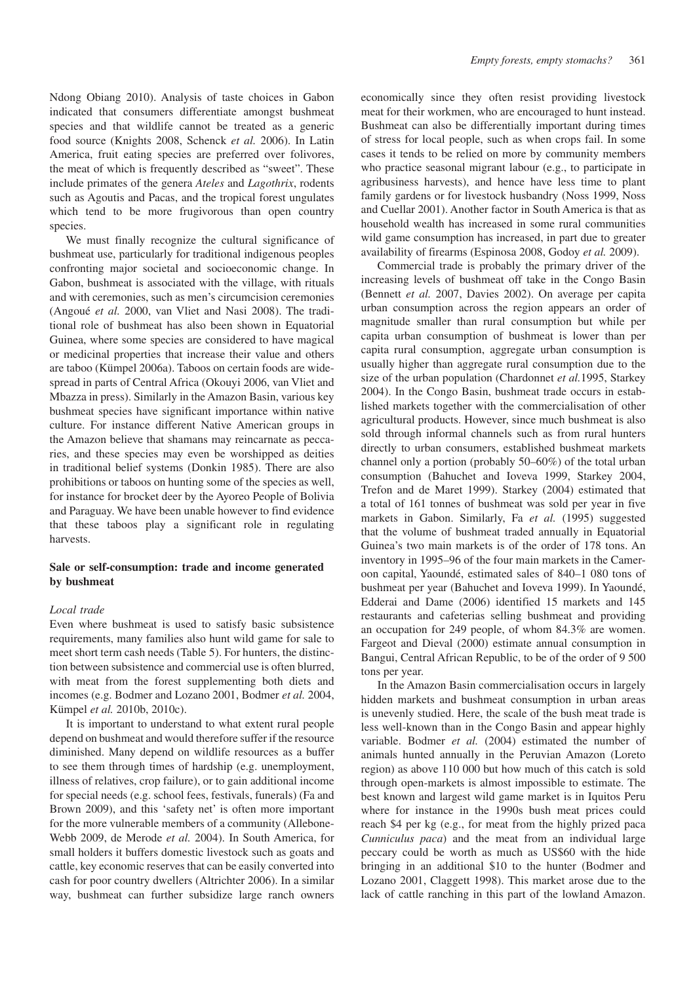Ndong Obiang 2010). Analysis of taste choices in Gabon indicated that consumers differentiate amongst bushmeat species and that wildlife cannot be treated as a generic food source (Knights 2008, Schenck *et al.* 2006). In Latin America, fruit eating species are preferred over folivores, the meat of which is frequently described as "sweet". These include primates of the genera *Ateles* and *Lagothrix*, rodents such as Agoutis and Pacas, and the tropical forest ungulates which tend to be more frugivorous than open country species.

We must finally recognize the cultural significance of bushmeat use, particularly for traditional indigenous peoples confronting major societal and socioeconomic change. In Gabon, bushmeat is associated with the village, with rituals and with ceremonies, such as men's circumcision ceremonies (Angoué *et al.* 2000, van Vliet and Nasi 2008). The traditional role of bushmeat has also been shown in Equatorial Guinea, where some species are considered to have magical or medicinal properties that increase their value and others are taboo (Kümpel 2006a). Taboos on certain foods are widespread in parts of Central Africa (Okouyi 2006, van Vliet and Mbazza in press). Similarly in the Amazon Basin, various key bushmeat species have significant importance within native culture. For instance different Native American groups in the Amazon believe that shamans may reincarnate as peccaries, and these species may even be worshipped as deities in traditional belief systems (Donkin 1985). There are also prohibitions or taboos on hunting some of the species as well, for instance for brocket deer by the Ayoreo People of Bolivia and Paraguay. We have been unable however to find evidence that these taboos play a significant role in regulating harvests.

# **Sale or self-consumption: trade and income generated by bushmeat**

#### *Local trade*

Even where bushmeat is used to satisfy basic subsistence requirements, many families also hunt wild game for sale to meet short term cash needs (Table 5). For hunters, the distinction between subsistence and commercial use is often blurred, with meat from the forest supplementing both diets and incomes (e.g. Bodmer and Lozano 2001, Bodmer *et al.* 2004, Kümpel *et al.* 2010b, 2010c).

It is important to understand to what extent rural people depend on bushmeat and would therefore suffer if the resource diminished. Many depend on wildlife resources as a buffer to see them through times of hardship (e.g. unemployment, illness of relatives, crop failure), or to gain additional income for special needs (e.g. school fees, festivals, funerals) (Fa and Brown 2009), and this 'safety net' is often more important for the more vulnerable members of a community (Allebone-Webb 2009, de Merode *et al.* 2004). In South America, for small holders it buffers domestic livestock such as goats and cattle, key economic reserves that can be easily converted into cash for poor country dwellers (Altrichter 2006). In a similar way, bushmeat can further subsidize large ranch owners economically since they often resist providing livestock meat for their workmen, who are encouraged to hunt instead. Bushmeat can also be differentially important during times of stress for local people, such as when crops fail. In some cases it tends to be relied on more by community members who practice seasonal migrant labour (e.g., to participate in agribusiness harvests), and hence have less time to plant family gardens or for livestock husbandry (Noss 1999, Noss and Cuellar 2001). Another factor in South America is that as household wealth has increased in some rural communities wild game consumption has increased, in part due to greater availability of firearms (Espinosa 2008, Godoy *et al.* 2009).

Commercial trade is probably the primary driver of the increasing levels of bushmeat off take in the Congo Basin (Bennett *et al.* 2007, Davies 2002). On average per capita urban consumption across the region appears an order of magnitude smaller than rural consumption but while per capita urban consumption of bushmeat is lower than per capita rural consumption, aggregate urban consumption is usually higher than aggregate rural consumption due to the size of the urban population (Chardonnet *et al.*1995, Starkey 2004). In the Congo Basin, bushmeat trade occurs in established markets together with the commercialisation of other agricultural products. However, since much bushmeat is also sold through informal channels such as from rural hunters directly to urban consumers, established bushmeat markets channel only a portion (probably 50–60%) of the total urban consumption (Bahuchet and Ioveva 1999, Starkey 2004, Trefon and de Maret 1999). Starkey (2004) estimated that a total of 161 tonnes of bushmeat was sold per year in five markets in Gabon. Similarly, Fa *et al.* (1995) suggested that the volume of bushmeat traded annually in Equatorial Guinea's two main markets is of the order of 178 tons. An inventory in 1995–96 of the four main markets in the Cameroon capital, Yaoundé, estimated sales of 840–1 080 tons of bushmeat per year (Bahuchet and Ioveva 1999). In Yaoundé, Edderai and Dame (2006) identified 15 markets and 145 restaurants and cafeterias selling bushmeat and providing an occupation for 249 people, of whom 84.3% are women. Fargeot and Dieval (2000) estimate annual consumption in Bangui, Central African Republic, to be of the order of 9 500 tons per year.

In the Amazon Basin commercialisation occurs in largely hidden markets and bushmeat consumption in urban areas is unevenly studied. Here, the scale of the bush meat trade is less well-known than in the Congo Basin and appear highly variable. Bodmer *et al.* (2004) estimated the number of animals hunted annually in the Peruvian Amazon (Loreto region) as above 110 000 but how much of this catch is sold through open-markets is almost impossible to estimate. The best known and largest wild game market is in Iquitos Peru where for instance in the 1990s bush meat prices could reach \$4 per kg (e.g., for meat from the highly prized paca *Cunniculus paca*) and the meat from an individual large peccary could be worth as much as US\$60 with the hide bringing in an additional \$10 to the hunter (Bodmer and Lozano 2001, Claggett 1998). This market arose due to the lack of cattle ranching in this part of the lowland Amazon.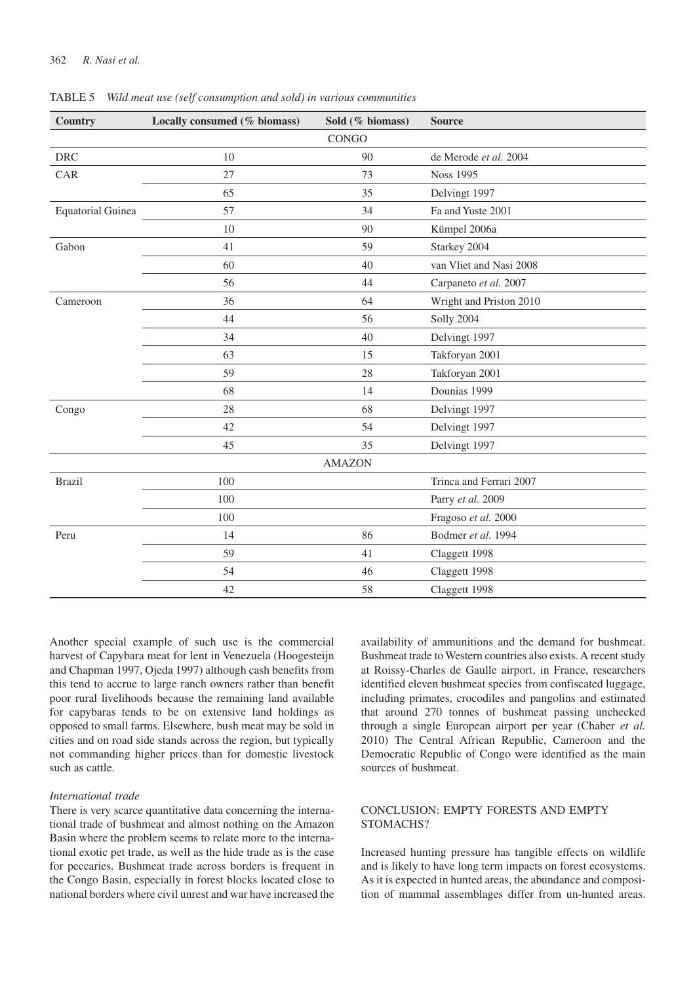# 362 *R. Nasi et al.*

| Country                  | Locally consumed (% biomass) | Sold (% biomass) | <b>Source</b>           |
|--------------------------|------------------------------|------------------|-------------------------|
|                          |                              | <b>CONGO</b>     |                         |
| <b>DRC</b>               | 10                           | 90               | de Merode et al. 2004   |
| CAR                      | 27                           | 73               | <b>Noss 1995</b>        |
|                          | 65                           | 35               | Delvingt 1997           |
| <b>Equatorial Guinea</b> | 57                           | 34               | Fa and Yuste 2001       |
|                          | 10                           | 90               | Kümpel 2006a            |
| Gabon                    | 41                           | 59               | Starkey 2004            |
|                          | 60                           | 40               | van Vliet and Nasi 2008 |
|                          | 56                           | 44               | Carpaneto et al. 2007   |
| Cameroon                 | 36                           | 64               | Wright and Priston 2010 |
|                          | 44                           | 56               | <b>Solly 2004</b>       |
|                          | 34                           | 40               | Delvingt 1997           |
|                          | 63                           | 15               | Takforyan 2001          |
|                          | 59                           | 28               | Takforyan 2001          |
|                          | 68                           | 14               | Dounias 1999            |
| Congo                    | 28                           | 68               | Delvingt 1997           |
|                          | 42                           | 54               | Delvingt 1997           |
|                          | 45                           | 35               | Delvingt 1997           |
|                          |                              | <b>AMAZON</b>    |                         |
| <b>Brazil</b>            | 100                          |                  | Trinca and Ferrari 2007 |
|                          | 100                          |                  | Parry et al. 2009       |
|                          | 100                          |                  | Fragoso et al. 2000     |
| Peru                     | 14                           | 86               | Bodmer et al. 1994      |
|                          | 59                           | 41               | Claggett 1998           |
|                          | 54                           | 46               | Claggett 1998           |
|                          | 42                           | 58               | Claggett 1998           |

TABLE 5 *Wild meat use (self consumption and sold) in various communities*

Another special example of such use is the commercial harvest of Capybara meat for lent in Venezuela (Hoogesteijn and Chapman 1997, Ojeda 1997) although cash benefits from this tend to accrue to large ranch owners rather than benefit poor rural livelihoods because the remaining land available for capybaras tends to be on extensive land holdings as opposed to small farms. Elsewhere, bush meat may be sold in cities and on road side stands across the region, but typically not commanding higher prices than for domestic livestock such as cattle.

#### *International trade*

There is very scarce quantitative data concerning the international trade of bushmeat and almost nothing on the Amazon Basin where the problem seems to relate more to the international exotic pet trade, as well as the hide trade as is the case for peccaries. Bushmeat trade across borders is frequent in the Congo Basin, especially in forest blocks located close to national borders where civil unrest and war have increased the availability of ammunitions and the demand for bushmeat. Bushmeat trade to Western countries also exists. A recent study at Roissy-Charles de Gaulle airport, in France, researchers identified eleven bushmeat species from confiscated luggage, including primates, crocodiles and pangolins and estimated that around 270 tonnes of bushmeat passing unchecked through a single European airport per year (Chaber *et al.* 2010) The Central African Republic, Cameroon and the Democratic Republic of Congo were identified as the main sources of bushmeat.

## CONCLUSION: EMPTY FORESTS AND EMPTY STOMACHS?

Increased hunting pressure has tangible effects on wildlife and is likely to have long term impacts on forest ecosystems. As it is expected in hunted areas, the abundance and composition of mammal assemblages differ from un-hunted areas.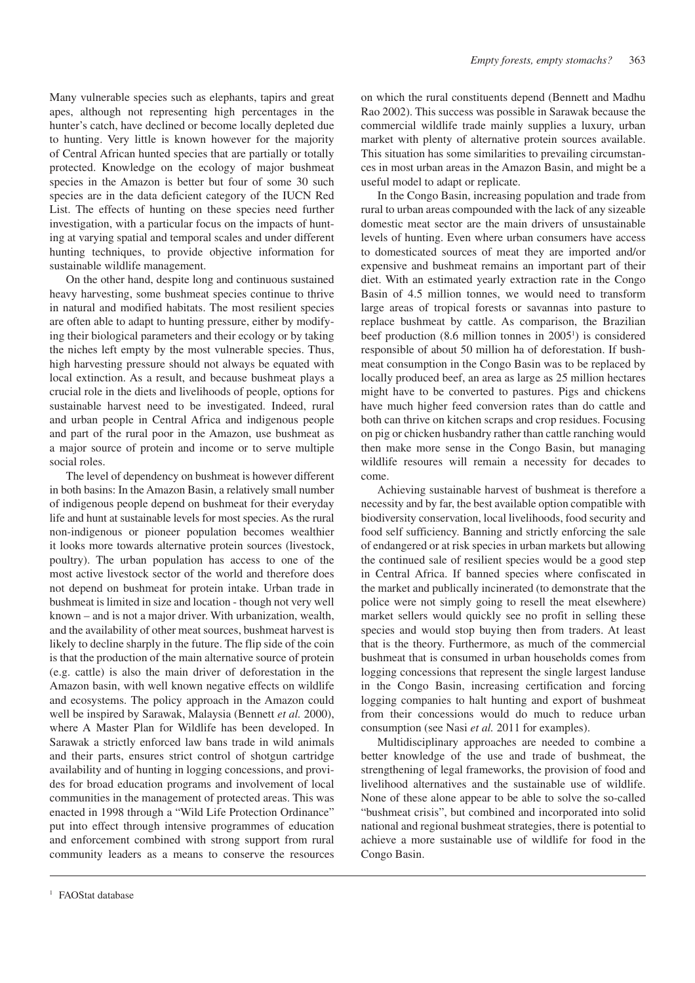Many vulnerable species such as elephants, tapirs and great apes, although not representing high percentages in the hunter's catch, have declined or become locally depleted due to hunting. Very little is known however for the majority of Central African hunted species that are partially or totally protected. Knowledge on the ecology of major bushmeat species in the Amazon is better but four of some 30 such species are in the data deficient category of the IUCN Red List. The effects of hunting on these species need further investigation, with a particular focus on the impacts of hunting at varying spatial and temporal scales and under different hunting techniques, to provide objective information for sustainable wildlife management.

On the other hand, despite long and continuous sustained heavy harvesting, some bushmeat species continue to thrive in natural and modified habitats. The most resilient species are often able to adapt to hunting pressure, either by modifying their biological parameters and their ecology or by taking the niches left empty by the most vulnerable species. Thus, high harvesting pressure should not always be equated with local extinction. As a result, and because bushmeat plays a crucial role in the diets and livelihoods of people, options for sustainable harvest need to be investigated. Indeed, rural and urban people in Central Africa and indigenous people and part of the rural poor in the Amazon, use bushmeat as a major source of protein and income or to serve multiple social roles.

The level of dependency on bushmeat is however different in both basins: In the Amazon Basin, a relatively small number of indigenous people depend on bushmeat for their everyday life and hunt at sustainable levels for most species. As the rural non-indigenous or pioneer population becomes wealthier it looks more towards alternative protein sources (livestock, poultry). The urban population has access to one of the most active livestock sector of the world and therefore does not depend on bushmeat for protein intake. Urban trade in bushmeat is limited in size and location - though not very well known – and is not a major driver. With urbanization, wealth, and the availability of other meat sources, bushmeat harvest is likely to decline sharply in the future. The flip side of the coin is that the production of the main alternative source of protein (e.g. cattle) is also the main driver of deforestation in the Amazon basin, with well known negative effects on wildlife and ecosystems. The policy approach in the Amazon could well be inspired by Sarawak, Malaysia (Bennett *et al.* 2000), where A Master Plan for Wildlife has been developed. In Sarawak a strictly enforced law bans trade in wild animals and their parts, ensures strict control of shotgun cartridge availability and of hunting in logging concessions, and provides for broad education programs and involvement of local communities in the management of protected areas. This was enacted in 1998 through a "Wild Life Protection Ordinance" put into effect through intensive programmes of education and enforcement combined with strong support from rural community leaders as a means to conserve the resources

on which the rural constituents depend (Bennett and Madhu Rao 2002). This success was possible in Sarawak because the commercial wildlife trade mainly supplies a luxury, urban market with plenty of alternative protein sources available. This situation has some similarities to prevailing circumstances in most urban areas in the Amazon Basin, and might be a useful model to adapt or replicate.

In the Congo Basin, increasing population and trade from rural to urban areas compounded with the lack of any sizeable domestic meat sector are the main drivers of unsustainable levels of hunting. Even where urban consumers have access to domesticated sources of meat they are imported and/or expensive and bushmeat remains an important part of their diet. With an estimated yearly extraction rate in the Congo Basin of 4.5 million tonnes, we would need to transform large areas of tropical forests or savannas into pasture to replace bushmeat by cattle. As comparison, the Brazilian beef production (8.6 million tonnes in 2005<sup>1</sup>) is considered responsible of about 50 million ha of deforestation. If bushmeat consumption in the Congo Basin was to be replaced by locally produced beef, an area as large as 25 million hectares might have to be converted to pastures. Pigs and chickens have much higher feed conversion rates than do cattle and both can thrive on kitchen scraps and crop residues. Focusing on pig or chicken husbandry rather than cattle ranching would then make more sense in the Congo Basin, but managing wildlife resoures will remain a necessity for decades to come.

Achieving sustainable harvest of bushmeat is therefore a necessity and by far, the best available option compatible with biodiversity conservation, local livelihoods, food security and food self sufficiency. Banning and strictly enforcing the sale of endangered or at risk species in urban markets but allowing the continued sale of resilient species would be a good step in Central Africa. If banned species where confiscated in the market and publically incinerated (to demonstrate that the police were not simply going to resell the meat elsewhere) market sellers would quickly see no profit in selling these species and would stop buying then from traders. At least that is the theory. Furthermore, as much of the commercial bushmeat that is consumed in urban households comes from logging concessions that represent the single largest landuse in the Congo Basin, increasing certification and forcing logging companies to halt hunting and export of bushmeat from their concessions would do much to reduce urban consumption (see Nasi *et al.* 2011 for examples).

Multidisciplinary approaches are needed to combine a better knowledge of the use and trade of bushmeat, the strengthening of legal frameworks, the provision of food and livelihood alternatives and the sustainable use of wildlife. None of these alone appear to be able to solve the so-called "bushmeat crisis", but combined and incorporated into solid national and regional bushmeat strategies, there is potential to achieve a more sustainable use of wildlife for food in the Congo Basin.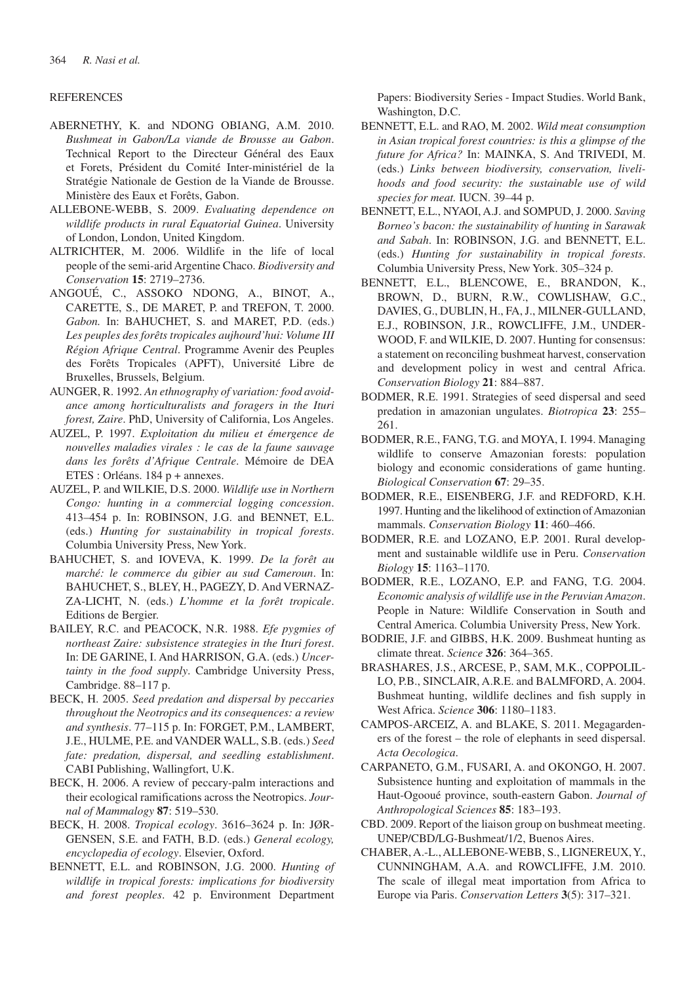#### **REFERENCES**

- ABERNETHY, K. and NDONG OBIANG, A.M. 2010. *Bushmeat in Gabon/La viande de Brousse au Gabon*. Technical Report to the Directeur Général des Eaux et Forets, Président du Comité Inter-ministériel de la Stratégie Nationale de Gestion de la Viande de Brousse. Ministère des Eaux et Forêts, Gabon.
- ALLEBONE-WEBB, S. 2009. *Evaluating dependence on wildlife products in rural Equatorial Guinea*. University of London, London, United Kingdom.
- ALTRICHTER, M. 2006. Wildlife in the life of local people of the semi-arid Argentine Chaco. *Biodiversity and Conservation* **15**: 2719–2736.
- ANGOUÉ, C., ASSOKO NDONG, A., BINOT, A., CARETTE, S., DE MARET, P. and TREFON, T. 2000. *Gabon.* In: BAHUCHET, S. and MARET, P.D. (eds.) *Les peuples des forêts tropicales aujhourd'hui: Volume III Région Afrique Central*. Programme Avenir des Peuples des Forêts Tropicales (APFT), Université Libre de Bruxelles, Brussels, Belgium.
- AUNGER, R. 1992. *An ethnography of variation: food avoidance among horticulturalists and foragers in the Ituri forest, Zaire*. PhD, University of California, Los Angeles.
- AUZEL, P. 1997. *Exploitation du milieu et émergence de nouvelles maladies virales : le cas de la faune sauvage dans les forêts d'Afrique Centrale*. Mémoire de DEA ETES : Orléans. 184 p + annexes.
- AUZEL, P. and WILKIE, D.S. 2000. *Wildlife use in Northern Congo: hunting in a commercial logging concession*. 413–454 p. In: ROBINSON, J.G. and BENNET, E.L. (eds.) *Hunting for sustainability in tropical forests*. Columbia University Press, New York.
- BAHUCHET, S. and IOVEVA, K. 1999. *De la forêt au marché: le commerce du gibier au sud Cameroun*. In: BAHUCHET, S., BLEY, H., PAGEZY, D. And VERNAZ-ZA-LICHT, N. (eds.) *L'homme et la forêt tropicale*. Editions de Bergier.
- BAILEY, R.C. and PEACOCK, N.R. 1988. *Efe pygmies of northeast Zaire: subsistence strategies in the Ituri forest*. In: DE GARINE, I. And HARRISON, G.A. (eds.) *Uncertainty in the food supply*. Cambridge University Press, Cambridge. 88–117 p.
- BECK, H. 2005. *Seed predation and dispersal by peccaries throughout the Neotropics and its consequences: a review and synthesis*. 77–115 p. In: FORGET, P.M., LAMBERT, J.E., HULME, P.E. and VANDER WALL, S.B. (eds.) *Seed fate: predation, dispersal, and seedling establishment*. CABI Publishing, Wallingfort, U.K.
- BECK, H. 2006. A review of peccary-palm interactions and their ecological ramifications across the Neotropics. *Journal of Mammalogy* **87**: 519–530.
- BECK, H. 2008. *Tropical ecology*. 3616–3624 p. In: JØR-GENSEN, S.E. and FATH, B.D. (eds.) *General ecology, encyclopedia of ecology*. Elsevier, Oxford.
- BENNETT, E.L. and ROBINSON, J.G. 2000. *Hunting of wildlife in tropical forests: implications for biodiversity and forest peoples*. 42 p. Environment Department

Papers: Biodiversity Series - Impact Studies. World Bank, Washington, D.C.

- BENNETT, E.L. and RAO, M. 2002. *Wild meat consumption in Asian tropical forest countries: is this a glimpse of the future for Africa?* In: MAINKA, S. And TRIVEDI, M. (eds.) *Links between biodiversity, conservation, livelihoods and food security: the sustainable use of wild species for meat.* IUCN. 39–44 p.
- BENNETT, E.L., NYAOI, A.J. and SOMPUD, J. 2000. *Saving Borneo's bacon: the sustainability of hunting in Sarawak and Sabah*. In: ROBINSON, J.G. and BENNETT, E.L. (eds.) *Hunting for sustainability in tropical forests*. Columbia University Press, New York. 305–324 p.
- BENNETT, E.L., BLENCOWE, E., BRANDON, K., BROWN, D., BURN, R.W., COWLISHAW, G.C., DAVIES, G., DUBLIN, H., FA, J., MILNER-GULLAND, E.J., ROBINSON, J.R., ROWCLIFFE, J.M., UNDER-WOOD, F. and WILKIE, D. 2007. Hunting for consensus: a statement on reconciling bushmeat harvest, conservation and development policy in west and central Africa. *Conservation Biology* **21**: 884–887.
- BODMER, R.E. 1991. Strategies of seed dispersal and seed predation in amazonian ungulates. *Biotropica* **23**: 255– 261.
- BODMER, R.E., FANG, T.G. and MOYA, I. 1994. Managing wildlife to conserve Amazonian forests: population biology and economic considerations of game hunting. *Biological Conservation* **67**: 29–35.
- BODMER, R.E., EISENBERG, J.F. and REDFORD, K.H. 1997. Hunting and the likelihood of extinction of Amazonian mammals. *Conservation Biology* **11**: 460–466.
- BODMER, R.E. and LOZANO, E.P. 2001. Rural development and sustainable wildlife use in Peru. *Conservation Biology* **15**: 1163–1170.
- BODMER, R.E., LOZANO, E.P. and FANG, T.G. 2004. *Economic analysis of wildlife use in the Peruvian Amazon*. People in Nature: Wildlife Conservation in South and Central America. Columbia University Press, New York.
- BODRIE, J.F. and GIBBS, H.K. 2009. Bushmeat hunting as climate threat. *Science* **326**: 364–365.
- BRASHARES, J.S., ARCESE, P., SAM, M.K., COPPOLIL-LO, P.B., SINCLAIR, A.R.E. and BALMFORD, A. 2004. Bushmeat hunting, wildlife declines and fish supply in West Africa. *Science* **306**: 1180–1183.
- CAMPOS-ARCEIZ, A. and BLAKE, S. 2011. Megagardeners of the forest – the role of elephants in seed dispersal. *Acta Oecologica*.
- CARPANETO, G.M., FUSARI, A. and OKONGO, H. 2007. Subsistence hunting and exploitation of mammals in the Haut-Ogooué province, south-eastern Gabon. *Journal of Anthropological Sciences* **85**: 183–193.
- CBD. 2009. Report of the liaison group on bushmeat meeting. UNEP/CBD/LG-Bushmeat/1/2, Buenos Aires.
- CHABER, A.-L., ALLEBONE-WEBB, S., LIGNEREUX, Y., CUNNINGHAM, A.A. and ROWCLIFFE, J.M. 2010. The scale of illegal meat importation from Africa to Europe via Paris. *Conservation Letters* **3**(5): 317–321.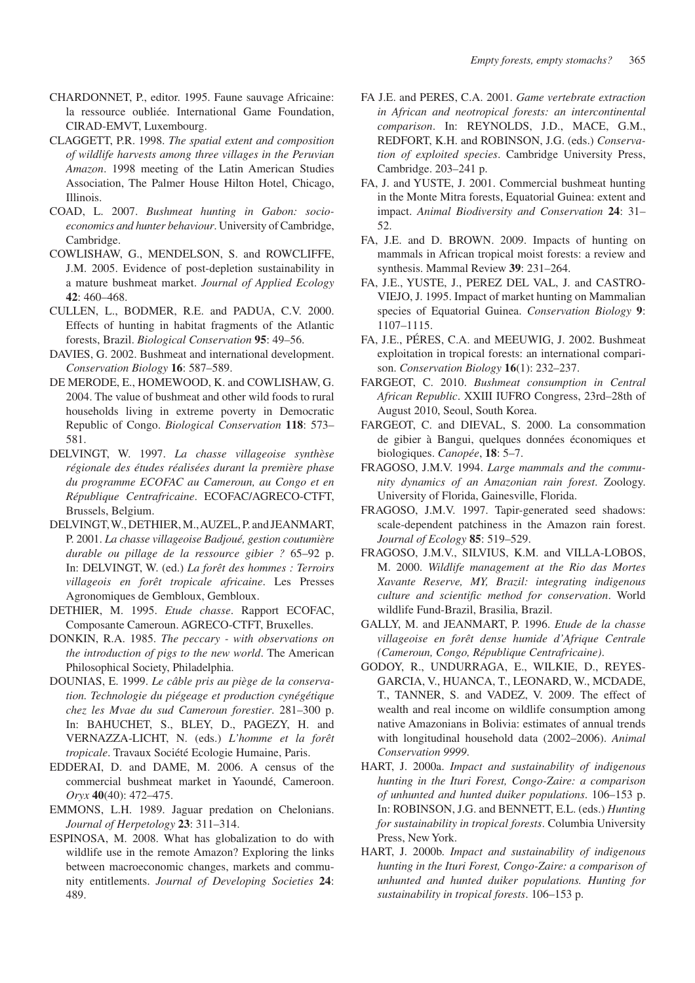- CHARDONNET, P., editor. 1995. Faune sauvage Africaine: la ressource oubliée. International Game Foundation, CIRAD-EMVT, Luxembourg.
- CLAGGETT, P.R. 1998. *The spatial extent and composition of wildlife harvests among three villages in the Peruvian Amazon*. 1998 meeting of the Latin American Studies Association, The Palmer House Hilton Hotel, Chicago, Illinois.
- COAD, L. 2007. *Bushmeat hunting in Gabon: socioeconomics and hunter behaviour*. University of Cambridge, Cambridge.
- COWLISHAW, G., MENDELSON, S. and ROWCLIFFE, J.M. 2005. Evidence of post-depletion sustainability in a mature bushmeat market. *Journal of Applied Ecology* **42**: 460–468.
- CULLEN, L., BODMER, R.E. and PADUA, C.V. 2000. Effects of hunting in habitat fragments of the Atlantic forests, Brazil. *Biological Conservation* **95**: 49–56.
- DAVIES, G. 2002. Bushmeat and international development. *Conservation Biology* **16**: 587–589.
- DE MERODE, E., HOMEWOOD, K. and COWLISHAW, G. 2004. The value of bushmeat and other wild foods to rural households living in extreme poverty in Democratic Republic of Congo. *Biological Conservation* **118**: 573– 581.
- DELVINGT, W. 1997. *La chasse villageoise synthèse régionale des études réalisées durant la première phase du programme ECOFAC au Cameroun, au Congo et en République Centrafricaine*. ECOFAC/AGRECO-CTFT, Brussels, Belgium.
- DELVINGT, W., DETHIER, M., AUZEL, P. and JEANMART, P. 2001. *La chasse villageoise Badjoué, gestion coutumière durable ou pillage de la ressource gibier ?* 65–92 p. In: DELVINGT, W. (ed.) *La forêt des hommes : Terroirs villageois en forêt tropicale africaine*. Les Presses Agronomiques de Gembloux, Gembloux.
- DETHIER, M. 1995. *Etude chasse*. Rapport ECOFAC, Composante Cameroun. AGRECO-CTFT, Bruxelles.
- DONKIN, R.A. 1985. *The peccary with observations on the introduction of pigs to the new world*. The American Philosophical Society, Philadelphia.
- DOUNIAS, E. 1999. *Le câble pris au piège de la conservation. Technologie du piégeage et production cynégétique chez les Mvae du sud Cameroun forestier*. 281–300 p. In: BAHUCHET, S., BLEY, D., PAGEZY, H. and VERNAZZA-LICHT, N. (eds.) *L'homme et la forêt tropicale*. Travaux Société Ecologie Humaine, Paris.
- EDDERAI, D. and DAME, M. 2006. A census of the commercial bushmeat market in Yaoundé, Cameroon. *Oryx* **40**(40): 472–475.
- EMMONS, L.H. 1989. Jaguar predation on Chelonians. *Journal of Herpetology* **23**: 311–314.
- ESPINOSA, M. 2008. What has globalization to do with wildlife use in the remote Amazon? Exploring the links between macroeconomic changes, markets and community entitlements. *Journal of Developing Societies* **24**: 489.
- FA J.E. and PERES, C.A. 2001. *Game vertebrate extraction in African and neotropical forests: an intercontinental comparison*. In: REYNOLDS, J.D., MACE, G.M., REDFORT, K.H. and ROBINSON, J.G. (eds.) *Conservation of exploited species*. Cambridge University Press, Cambridge. 203–241 p.
- FA, J. and YUSTE, J. 2001. Commercial bushmeat hunting in the Monte Mitra forests, Equatorial Guinea: extent and impact. *Animal Biodiversity and Conservation* **24**: 31– 52.
- FA, J.E. and D. BROWN. 2009. Impacts of hunting on mammals in African tropical moist forests: a review and synthesis. Mammal Review **39**: 231–264.
- FA, J.E., YUSTE, J., PEREZ DEL VAL, J. and CASTRO-VIEJO, J. 1995. Impact of market hunting on Mammalian species of Equatorial Guinea. *Conservation Biology* **9**: 1107–1115.
- FA, J.E., PÉRES, C.A. and MEEUWIG, J. 2002. Bushmeat exploitation in tropical forests: an international comparison. *Conservation Biology* **16**(1): 232–237.
- FARGEOT, C. 2010. *Bushmeat consumption in Central African Republic*. XXIII IUFRO Congress, 23rd–28th of August 2010, Seoul, South Korea.
- FARGEOT, C. and DIEVAL, S. 2000. La consommation de gibier à Bangui, quelques données économiques et biologiques. *Canopée*, **18**: 5–7.
- FRAGOSO, J.M.V. 1994. *Large mammals and the community dynamics of an Amazonian rain forest*. Zoology. University of Florida, Gainesville, Florida.
- FRAGOSO, J.M.V. 1997. Tapir-generated seed shadows: scale-dependent patchiness in the Amazon rain forest. *Journal of Ecology* **85**: 519–529.
- FRAGOSO, J.M.V., SILVIUS, K.M. and VILLA-LOBOS, M. 2000. *Wildlife management at the Rio das Mortes Xavante Reserve, MY, Brazil: integrating indigenous culture and scientific method for conservation*. World wildlife Fund-Brazil, Brasilia, Brazil.
- GALLY, M. and JEANMART, P. 1996. *Etude de la chasse villageoise en forêt dense humide d'Afrique Centrale (Cameroun, Congo, République Centrafricaine)*.
- GODOY, R., UNDURRAGA, E., WILKIE, D., REYES-GARCIA, V., HUANCA, T., LEONARD, W., MCDADE, T., TANNER, S. and VADEZ, V. 2009. The effect of wealth and real income on wildlife consumption among native Amazonians in Bolivia: estimates of annual trends with longitudinal household data (2002–2006). *Animal Conservation 9999*.
- HART, J. 2000a. *Impact and sustainability of indigenous hunting in the Ituri Forest, Congo-Zaire: a comparison of unhunted and hunted duiker populations*. 106–153 p. In: ROBINSON, J.G. and BENNETT, E.L. (eds.) *Hunting for sustainability in tropical forests*. Columbia University Press, New York.
- HART, J. 2000b. *Impact and sustainability of indigenous hunting in the Ituri Forest, Congo-Zaire: a comparison of unhunted and hunted duiker populations. Hunting for sustainability in tropical forests*. 106–153 p.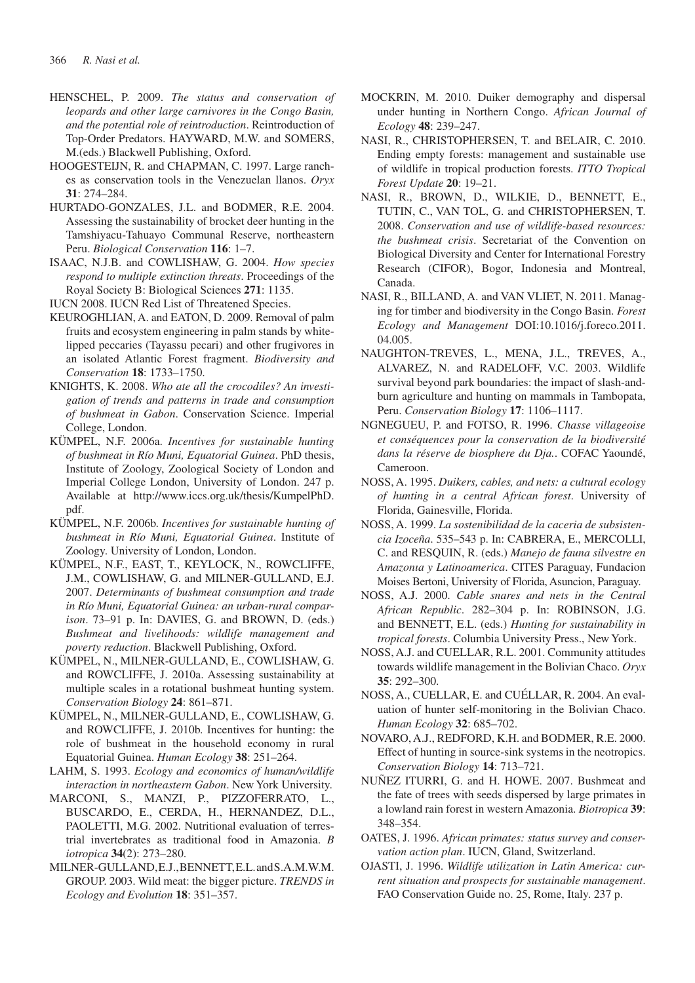- HENSCHEL, P. 2009. *The status and conservation of leopards and other large carnivores in the Congo Basin, and the potential role of reintroduction*. Reintroduction of Top-Order Predators. HAYWARD, M.W. and SOMERS, M.(eds.) Blackwell Publishing, Oxford.
- HOOGESTEIJN, R. and CHAPMAN, C. 1997. Large ranches as conservation tools in the Venezuelan llanos. *Oryx* **31**: 274–284.
- HURTADO-GONZALES, J.L. and BODMER, R.E. 2004. Assessing the sustainability of brocket deer hunting in the Tamshiyacu-Tahuayo Communal Reserve, northeastern Peru. *Biological Conservation* **116**: 1–7.
- ISAAC, N.J.B. and COWLISHAW, G. 2004. *How species respond to multiple extinction threats*. Proceedings of the Royal Society B: Biological Sciences **271**: 1135.
- IUCN 2008. IUCN Red List of Threatened Species.
- KEUROGHLIAN, A. and EATON, D. 2009. Removal of palm fruits and ecosystem engineering in palm stands by whitelipped peccaries (Tayassu pecari) and other frugivores in an isolated Atlantic Forest fragment. *Biodiversity and Conservation* **18**: 1733–1750.
- KNIGHTS, K. 2008. *Who ate all the crocodiles? An investigation of trends and patterns in trade and consumption of bushmeat in Gabon*. Conservation Science. Imperial College, London.
- KÜMPEL, N.F. 2006a. *Incentives for sustainable hunting of bushmeat in Río Muni, Equatorial Guinea*. PhD thesis, Institute of Zoology, Zoological Society of London and Imperial College London, University of London. 247 p. Available at http://www.iccs.org.uk/thesis/KumpelPhD. pdf.
- KÜMPEL, N.F. 2006b. *Incentives for sustainable hunting of bushmeat in Río Muni, Equatorial Guinea*. Institute of Zoology. University of London, London.
- KÜMPEL, N.F., EAST, T., KEYLOCK, N., ROWCLIFFE, J.M., COWLISHAW, G. and MILNER-GULLAND, E.J. 2007. *Determinants of bushmeat consumption and trade in Río Muni, Equatorial Guinea: an urban-rural comparison*. 73–91 p. In: DAVIES, G. and BROWN, D. (eds.) *Bushmeat and livelihoods: wildlife management and poverty reduction*. Blackwell Publishing, Oxford.
- KÜMPEL, N., MILNER-GULLAND, E., COWLISHAW, G. and ROWCLIFFE, J. 2010a. Assessing sustainability at multiple scales in a rotational bushmeat hunting system. *Conservation Biology* **24**: 861–871.
- KÜMPEL, N., MILNER-GULLAND, E., COWLISHAW, G. and ROWCLIFFE, J. 2010b. Incentives for hunting: the role of bushmeat in the household economy in rural Equatorial Guinea. *Human Ecology* **38**: 251–264.
- LAHM, S. 1993. *Ecology and economics of human/wildlife interaction in northeastern Gabon*. New York University.
- MARCONI, S., MANZI, P., PIZZOFERRATO, L., BUSCARDO, E., CERDA, H., HERNANDEZ, D.L., PAOLETTI, M.G. 2002. Nutritional evaluation of terrestrial invertebrates as traditional food in Amazonia. *B iotropica* **34**(2): 273–280.
- MILNER-GULLAND, E.J., BENNETT, E.L. and S.A.M.W.M. GROUP. 2003. Wild meat: the bigger picture. *TRENDS in Ecology and Evolution* **18**: 351–357.
- MOCKRIN, M. 2010. Duiker demography and dispersal under hunting in Northern Congo. *African Journal of Ecology* **48**: 239–247.
- NASI, R., CHRISTOPHERSEN, T. and BELAIR, C. 2010. Ending empty forests: management and sustainable use of wildlife in tropical production forests. *ITTO Tropical Forest Update* **20**: 19–21.
- NASI, R., BROWN, D., WILKIE, D., BENNETT, E., TUTIN, C., VAN TOL, G. and CHRISTOPHERSEN, T. 2008. *Conservation and use of wildlife-based resources: the bushmeat crisis*. Secretariat of the Convention on Biological Diversity and Center for International Forestry Research (CIFOR), Bogor, Indonesia and Montreal, Canada.
- NASI, R., BILLAND, A. and VAN VLIET, N. 2011. Managing for timber and biodiversity in the Congo Basin. *Forest Ecology and Management* DOI:10.1016/j.foreco.2011. 04.005.
- NAUGHTON-TREVES, L., MENA, J.L., TREVES, A., ALVAREZ, N. and RADELOFF, V.C. 2003. Wildlife survival beyond park boundaries: the impact of slash-andburn agriculture and hunting on mammals in Tambopata, Peru. *Conservation Biology* **17**: 1106–1117.
- NGNEGUEU, P. and FOTSO, R. 1996. *Chasse villageoise et conséquences pour la conservation de la biodiversité dans la réserve de biosphere du Dja.*. COFAC Yaoundé, Cameroon.
- NOSS, A. 1995. *Duikers, cables, and nets: a cultural ecology of hunting in a central African forest*. University of Florida, Gainesville, Florida.
- NOSS, A. 1999. *La sostenibilidad de la caceria de subsistencia Izoceña*. 535–543 p. In: CABRERA, E., MERCOLLI, C. and RESQUIN, R. (eds.) *Manejo de fauna silvestre en Amazonıa y Latinoamerica*. CITES Paraguay, Fundacion Moises Bertoni, University of Florida, Asuncion, Paraguay.
- NOSS, A.J. 2000. *Cable snares and nets in the Central African Republic*. 282–304 p. In: ROBINSON, J.G. and BENNETT, E.L. (eds.) *Hunting for sustainability in tropical forests*. Columbia University Press., New York.
- NOSS, A.J. and CUELLAR, R.L. 2001. Community attitudes towards wildlife management in the Bolivian Chaco. *Oryx* **35**: 292–300.
- NOSS, A., CUELLAR, E. and CUÉLLAR, R. 2004. An evaluation of hunter self-monitoring in the Bolivian Chaco. *Human Ecology* **32**: 685–702.
- NOVARO, A.J., REDFORD, K.H. and BODMER, R.E. 2000. Effect of hunting in source-sink systems in the neotropics. *Conservation Biology* **14**: 713–721.
- NUÑEZ ITURRI, G. and H. HOWE. 2007. Bushmeat and the fate of trees with seeds dispersed by large primates in a lowland rain forest in western Amazonia. *Biotropica* **39**: 348–354.
- OATES, J. 1996. *African primates: status survey and conservation action plan*. IUCN, Gland, Switzerland.
- OJASTI, J. 1996. *Wildlife utilization in Latin America: current situation and prospects for sustainable management*. FAO Conservation Guide no. 25, Rome, Italy. 237 p.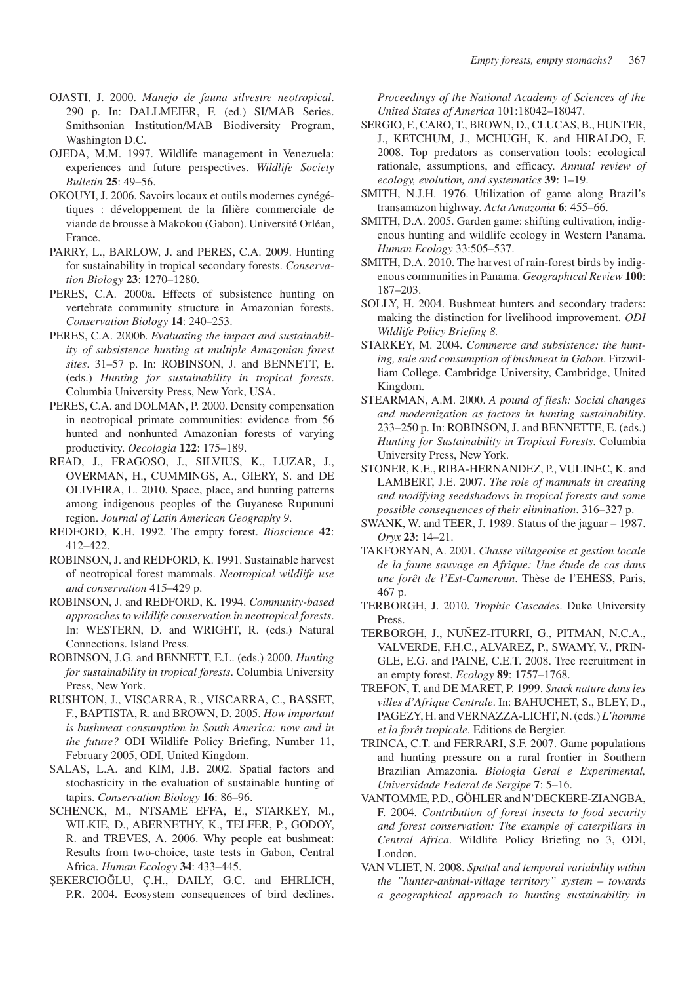- OJASTI, J. 2000. *Manejo de fauna silvestre neotropical*. 290 p. In: DALLMEIER, F. (ed.) SI/MAB Series. Smithsonian Institution/MAB Biodiversity Program, Washington D.C.
- OJEDA, M.M. 1997. Wildlife management in Venezuela: experiences and future perspectives. *Wildlife Society Bulletin* **25**: 49–56.
- OKOUYI, J. 2006. Savoirs locaux et outils modernes cynégétiques : développement de la filière commerciale de viande de brousse à Makokou (Gabon). Université Orléan, France.
- PARRY, L., BARLOW, J. and PERES, C.A. 2009. Hunting for sustainability in tropical secondary forests. *Conservation Biology* **23**: 1270–1280.
- PERES, C.A. 2000a. Effects of subsistence hunting on vertebrate community structure in Amazonian forests. *Conservation Biology* **14**: 240–253.
- PERES, C.A. 2000b. *Evaluating the impact and sustainability of subsistence hunting at multiple Amazonian forest sites*. 31–57 p. In: ROBINSON, J. and BENNETT, E. (eds.) *Hunting for sustainability in tropical forests*. Columbia University Press, New York, USA.
- PERES, C.A. and DOLMAN, P. 2000. Density compensation in neotropical primate communities: evidence from 56 hunted and nonhunted Amazonian forests of varying productivity. *Oecologia* **122**: 175–189.
- READ, J., FRAGOSO, J., SILVIUS, K., LUZAR, J., OVERMAN, H., CUMMINGS, A., GIERY, S. and DE OLIVEIRA, L. 2010. Space, place, and hunting patterns among indigenous peoples of the Guyanese Rupununi region. *Journal of Latin American Geography 9*.
- REDFORD, K.H. 1992. The empty forest. *Bioscience* **42**: 412–422.
- ROBINSON, J. and REDFORD, K. 1991. Sustainable harvest of neotropical forest mammals. *Neotropical wildlife use and conservation* 415–429 p.
- ROBINSON, J. and REDFORD, K. 1994. *Community-based approaches to wildlife conservation in neotropical forests*. In: WESTERN, D. and WRIGHT, R. (eds.) Natural Connections. Island Press.
- ROBINSON, J.G. and BENNETT, E.L. (eds.) 2000. *Hunting for sustainability in tropical forests*. Columbia University Press, New York.
- RUSHTON, J., VISCARRA, R., VISCARRA, C., BASSET, F., BAPTISTA, R. and BROWN, D. 2005. *How important is bushmeat consumption in South America: now and in the future?* ODI Wildlife Policy Briefing, Number 11, February 2005, ODI, United Kingdom.
- SALAS, L.A. and KIM, J.B. 2002. Spatial factors and stochasticity in the evaluation of sustainable hunting of tapirs. *Conservation Biology* **16**: 86–96.
- SCHENCK, M., NTSAME EFFA, E., STARKEY, M., WILKIE, D., ABERNETHY, K., TELFER, P., GODOY, R. and TREVES, A. 2006. Why people eat bushmeat: Results from two-choice, taste tests in Gabon, Central Africa. *Human Ecology* **34**: 433–445.
- ŞEKERCIOĞLU, Ç.H., DAILY, G.C. and EHRLICH, P.R. 2004. Ecosystem consequences of bird declines.

*Proceedings of the National Academy of Sciences of the United States of America* 101:18042–18047.

- SERGIO, F., CARO, T., BROWN, D., CLUCAS, B., HUNTER, J., KETCHUM, J., MCHUGH, K. and HIRALDO, F. 2008. Top predators as conservation tools: ecological rationale, assumptions, and efficacy. *Annual review of ecology, evolution, and systematics* **39**: 1–19.
- SMITH, N.J.H. 1976. Utilization of game along Brazil's transamazon highway. *Acta Amazonia* **6**: 455–66.
- SMITH, D.A. 2005. Garden game: shifting cultivation, indigenous hunting and wildlife ecology in Western Panama. *Human Ecology* 33:505–537.
- SMITH, D.A. 2010. The harvest of rain-forest birds by indigenous communities in Panama. *Geographical Review* **100**: 187–203.
- SOLLY, H. 2004. Bushmeat hunters and secondary traders: making the distinction for livelihood improvement. *ODI Wildlife Policy Briefing 8.*
- STARKEY, M. 2004. *Commerce and subsistence: the hunting, sale and consumption of bushmeat in Gabon*. Fitzwilliam College. Cambridge University, Cambridge, United Kingdom.
- STEARMAN, A.M. 2000. *A pound of flesh: Social changes and modernization as factors in hunting sustainability*. 233–250 p. In: ROBINSON, J. and BENNETTE, E. (eds.) *Hunting for Sustainability in Tropical Forests*. Columbia University Press, New York.
- STONER, K.E., RIBA-HERNANDEZ, P., VULINEC, K. and LAMBERT, J.E. 2007. *The role of mammals in creating and modifying seedshadows in tropical forests and some possible consequences of their elimination*. 316–327 p.
- SWANK, W. and TEER, J. 1989. Status of the jaguar 1987. *Oryx* **23**: 14–21.
- TAKFORYAN, A. 2001. *Chasse villageoise et gestion locale de la faune sauvage en Afrique: Une étude de cas dans une forêt de l'Est-Cameroun*. Thèse de l'EHESS, Paris, 467 p.
- TERBORGH, J. 2010. *Trophic Cascades*. Duke University Press.
- TERBORGH, J., NUÑEZ-ITURRI, G., PITMAN, N.C.A., VALVERDE, F.H.C., ALVAREZ, P., SWAMY, V., PRIN-GLE, E.G. and PAINE, C.E.T. 2008. Tree recruitment in an empty forest. *Ecology* **89**: 1757–1768.
- TREFON, T. and DE MARET, P. 1999. *Snack nature dans les villes d'Afrique Centrale*. In: BAHUCHET, S., BLEY, D., PAGEZY, H. and VERNAZZA-LICHT, N. (eds.) *L'homme et la forêt tropicale*. Editions de Bergier.
- TRINCA, C.T. and FERRARI, S.F. 2007. Game populations and hunting pressure on a rural frontier in Southern Brazilian Amazonia. *Biologia Geral e Experimental, Universidade Federal de Sergipe* **7**: 5–16.
- VANTOMME, P.D., GÖHLER and N'DECKERE-ZIANGBA, F. 2004. *Contribution of forest insects to food security and forest conservation: The example of caterpillars in Central Africa*. Wildlife Policy Briefing no 3, ODI, London.
- VAN VLIET, N. 2008. *Spatial and temporal variability within the "hunter-animal-village territory" system – towards a geographical approach to hunting sustainability in*